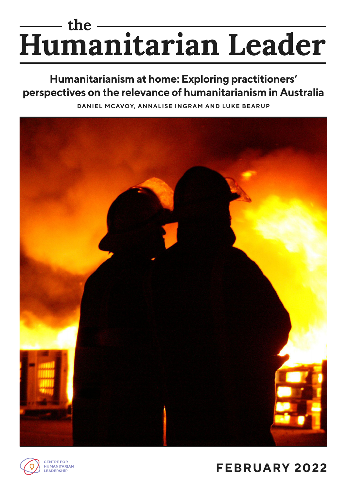# the the the serian Leader

# **Humanitarianism at home: Exploring practitioners' perspectives on the relevance of humanitarianism in Australia**

**DANIEL MCAVOY, ANNALISE INGRAM AND LUKE BEARUP**





# **FEBRUARY 2022**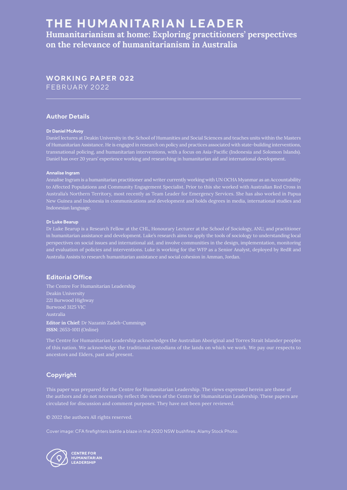# **THE HUMANITARIAN LEADER**

**Humanitarianism at home: Exploring practitioners' perspectives on the relevance of humanitarianism in Australia** 

# **WORKING PAPER 022** FEBRUARY 2022

#### **Author Details**

#### **Dr Daniel McAvoy**

Daniel lectures at Deakin University in the School of Humanities and Social Sciences and teaches units within the Masters of Humanitarian Assistance. He is engaged in research on policy and practices associated with state-building interventions, transnational policing, and humanitarian interventions, with a focus on Asia-Pacific (Indonesia and Solomon Islands). Daniel has over 20 years' experience working and researching in humanitarian aid and international development.

#### **Annalise Ingram**

Annalise Ingram is a humanitarian practitioner and writer currently working with UN OCHA Myanmar as an Accountability to Affected Populations and Community Engagement Specialist. Prior to this she worked with Australian Red Cross in Australia's Northern Territory, most recently as Team Leader for Emergency Services. She has also worked in Papua New Guinea and Indonesia in communications and development and holds degrees in media, international studies and Indonesian language.

#### **Dr Luke Bearup**

Dr Luke Bearup is a Research Fellow at the CHL, Honourary Lecturer at the School of Sociology, ANU, and practitioner in humanitarian assistance and development. Luke's research aims to apply the tools of sociology to understanding local perspectives on social issues and international aid, and involve communities in the design, implementation, monitoring and evaluation of policies and interventions. Luke is working for the WFP as a Senior Analyst, deployed by RedR and Australia Assists to research humanitarian assistance and social cohesion in Amman, Jordan.

#### **Editorial Office**

The Centre For Humanitarian Leadership Deakin University 221 Burwood Highway Australia **Editor in Chief:** Dr Nazanin Zadeh-Cummings

**ISSN:** 2653-1011 (Online)

The Centre for Humanitarian Leadership acknowledges the Australian Aboriginal and Torres Strait Islander peoples of this nation. We acknowledge the traditional custodians of the lands on which we work. We pay our respects to ancestors and Elders, past and present.

## **Copyright**

This paper was prepared for the Centre for Humanitarian Leadership. The views expressed herein are those of the authors and do not necessarily reflect the views of the Centre for Humanitarian Leadership. These papers are circulated for discussion and comment purposes. They have not been peer reviewed.

© 2022 the authors All rights reserved.

Cover image: CFA firefighters battle a blaze in the 2020 NSW bushfires. Alamy Stock Photo.

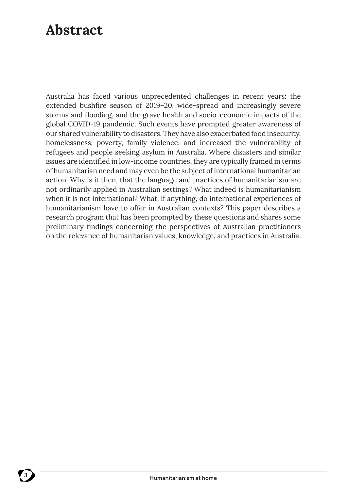Australia has faced various unprecedented challenges in recent years: the extended bushfire season of 2019–20, wide-spread and increasingly severe storms and flooding, and the grave health and socio-economic impacts of the global COVID-19 pandemic. Such events have prompted greater awareness of our shared vulnerability to disasters. They have also exacerbated food insecurity, homelessness, poverty, family violence, and increased the vulnerability of refugees and people seeking asylum in Australia. Where disasters and similar issues are identified in low-income countries, they are typically framed in terms of humanitarian need and may even be the subject of international humanitarian action. Why is it then, that the language and practices of humanitarianism are not ordinarily applied in Australian settings? What indeed is humanitarianism when it is not international? What, if anything, do international experiences of humanitarianism have to offer in Australian contexts? This paper describes a research program that has been prompted by these questions and shares some preliminary findings concerning the perspectives of Australian practitioners on the relevance of humanitarian values, knowledge, and practices in Australia.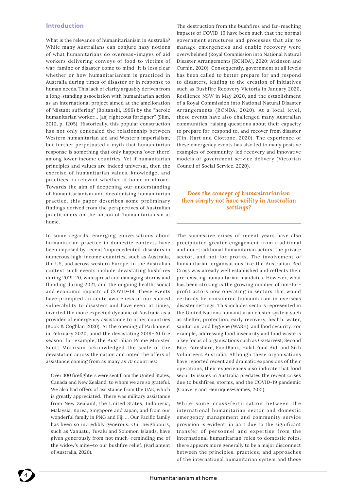#### **Introduction**

What is the relevance of humanitarianism in Australia? While many Australians can conjure hazy notions of what humanitarians do overseas—images of aid workers delivering convoys of food to victims of war, famine or disaster come to mind—it is less clear whether or how humanitarianism is practiced in Australia during times of disaster or in response to human needs. This lack of clarity arguably derives from a long-standing association with humanitarian action as an international project aimed at the amelioration of "distant suffering" (Boltanski, 1999) by the "heroic humanitarian worker… [as] righteous foreigner" (Slim, 2010, p. 1205). Historically, this popular construction has not only concealed the relationship between Western humanitarian aid and Western imperialism, but further perpetuated a myth that humanitarian response is something that only happens 'over there' among lower income countries. Yet if humanitarian principles and values are indeed universal, then the exercise of humanitarian values, knowledge, and practices, is relevant whether at home or abroad. Towards the aim of deepening our understanding of humanitarianism and decolonising humanitarian practice, this paper describes some preliminary findings derived from the perspectives of Australian practitioners on the notion of 'humanitarianism at home'.

In some regards, emerging conversations about humanitarian practice in domestic contexts have been imposed by recent 'unprecedented' disasters in numerous high-income countries, such as Australia, the US, and across western Europe. In the Australian context such events include devastating bushfires during 2019–20, widespread and damaging storms and flooding during 2021, and the ongoing health, social and economic impacts of COVID-19. These events have prompted an acute awareness of our shared vulnerability to disasters and have even, at times, inverted the more expected dynamic of Australia as a provider of emergency assistance to other countries (Book & Coghlan 2020). At the opening of Parliament in February 2020, amid the devastating 2019–20 fire season, for example, the Australian Prime Minister Scott Morrison acknowledged the scale of the devastation across the nation and noted the offers of assistance coming from as many as 70 countries:

Over 300 firefighters were sent from the United States, Canada and New Zealand, to whom we are so grateful. We also had offers of assistance from the UAE, which is greatly appreciated. There was military assistance from New Zealand, the United States, Indonesia, Malaysia, Korea, Singapore and Japan, and from our wonderful family in PNG and Fiji … Our Pacific family has been so incredibly generous. Our neighbours, such as Vanuatu, Tuvalu and Solomon Islands, have given generously from not much—reminding me of the widow's mite—to our bushfire relief. (Parliament of Australia, 2020).

The destruction from the bushfires and far-reaching impacts of COVID-19 have been such that the normal government structures and processes that aim to manage emergencies and enable recovery were overwhelmed (Royal Commission into National Natural Disaster Arrangements [RCNDA], 2020; Atkinson and Curnin, 2020). Consequently, government at all levels has been called to better prepare for and respond to disasters, leading to the creation of initiatives such as Bushfire Recovery Victoria in January 2020, Resilience NSW in May 2020, and the establishment of a Royal Commission into National Natural Disaster Arrangements (RCNDA, 2020). At a local level, these events have also challenged many Australian communities, raising questions about their capacity to prepare for, respond to, and recover from disaster (Tin, Hart and Ciottone, 2020). The experience of these emergency events has also led to many positive examples of community-led recovery and innovative models of government service delivery (Victorian Council of Social Service, 2020).

#### *Does the concept of humanitarianism then simply not have utility in Australian settings?*

The successive crises of recent years have also precipitated greater engagement from traditional and non-traditional humanitarian actors, the private sector, and not-for-profits. The involvement of humanitarian organisations like the Australian Red Cross was already well established and reflects their pre-existing humanitarian mandates. However, what has been striking is the growing number of not-forprofit actors now operating in sectors that would certainly be considered humanitarian in overseas disaster settings. This includes sectors represented in the United Nations humanitarian cluster system such as shelter, protection, early recovery, health, water, sanitation, and hygiene (WASH), and food security. For example, addressing food insecurity and food waste is a key focus of organisations such as OzHarvest, Second Bite, Fareshare, FoodBank, Halal Food Aid, and Sikh Volunteers Australia. Although these organisations have reported recent and dramatic expansions of their operations, their experiences also indicate that food security issues in Australia predates the recent crises due to bushfires, storms, and the COVID-19 pandemic (Convery and Henriques-Gomes, 2021).

While some cross-fertilisation between the international humanitarian sector and domestic emergency management and community service provision is evident, in part due to the significant transfer of personnel and expertise from the international humanitarian roles to domestic roles, there appears more generally to be a major disconnect between the principles, practices, and approaches of the international humanitarian system and those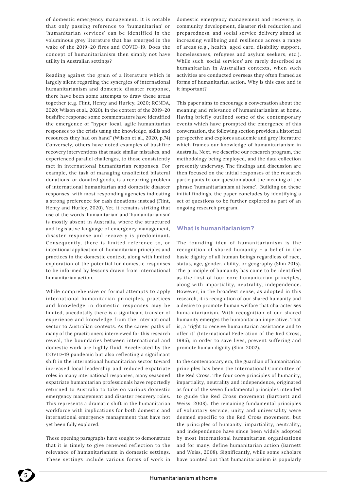of domestic emergency management. It is notable that only passing reference to 'humanitarian' or 'humanitarian services' can be identified in the voluminous grey literature that has emerged in the wake of the 2019–20 fires and COVID-19. Does the concept of humanitarianism then simply not have utility in Australian settings?

Reading against the grain of a literature which is largely silent regarding the synergies of international humanitarianism and domestic disaster response, there have been some attempts to draw these areas together (e.g. Flint, Henty and Hurley, 2020; RCNDA, 2020; Wilson et al., 2020). In the context of the 2019–20 bushfire response some commentators have identified the emergence of "hyper-local, agile humanitarian responses to the crisis using the knowledge, skills and resources they had on hand" (Wilson et al., 2020, p.74) Conversely, others have noted examples of bushfire recovery interventions that made similar mistakes, and experienced parallel challenges, to those consistently met in international humanitarian responses. For example, the task of managing unsolicited bilateral donations, or donated goods, is a recurring problem of international humanitarian and domestic disaster responses, with most responding agencies indicating a strong preference for cash donations instead (Flint, Henty and Hurley, 2020). Yet, it remains striking that use of the words 'humanitarian' and 'humanitarianism' is mostly absent in Australia, where the structured and legislative language of emergency management, disaster response and recovery is predominant. Consequently, there is limited reference to, or intentional application of, humanitarian principles and practices in the domestic context, along with limited exploration of the potential for domestic responses to be informed by lessons drawn from international humanitarian action.

While comprehensive or formal attempts to apply international humanitarian principles, practices and knowledge in domestic responses may be limited, anecdotally there is a significant transfer of experience and knowledge from the international sector to Australian contexts. As the career paths of many of the practitioners interviewed for this research reveal, the boundaries between international and domestic work are highly fluid. Accelerated by the COVID-19 pandemic but also reflecting a significant shift in the international humanitarian sector toward increased local leadership and reduced expatriate roles in many international responses, many seasoned expatriate humanitarian professionals have reportedly returned to Australia to take on various domestic emergency management and disaster recovery roles. This represents a dramatic shift in the humanitarian workforce with implications for both domestic and international emergency management that have not yet been fully explored.

These opening paragraphs have sought to demonstrate that it is timely to give renewed reflection to the relevance of humanitarianism in domestic settings. These settings include various forms of work in

domestic emergency management and recovery, in community development, disaster risk reduction and preparedness, and social service delivery aimed at increasing wellbeing and resilience across a range of areas (e.g., health, aged care, disability support, homelessness, refugees and asylum seekers, etc.). While such 'social services' are rarely described as humanitarian in Australian contexts, when such activities are conducted overseas they often framed as forms of humanitarian action. Why is this case and is it important?

This paper aims to encourage a conversation about the meaning and relevance of humanitarianism at home. Having briefly outlined some of the contemporary events which have prompted the emergence of this conversation, the following section provides a historical perspective and explores academic and grey literature which frames our knowledge of humanitarianism in Australia. Next, we describe our research program, the methodology being employed, and the data collection presently underway. The findings and discussion are then focused on the initial responses of the research participants to our question about the meaning of the phrase 'humanitarianism at home'. Building on these initial findings, the paper concludes by identifying a set of questions to be further explored as part of an ongoing research program.

## **What is humanitarianism?**

The founding idea of humanitarianism is the recognition of shared humanity – a belief in the basic dignity of all human beings regardless of race, status, age, gender, ability, or geography (Slim 2015). The principle of humanity has come to be identified as the first of four core humanitarian principles, along with impartiality, neutrality, independence. However, in the broadest sense, as adopted in this research, it is recognition of our shared humanity and a desire to promote human welfare that characterises humanitarianism. With recognition of our shared humanity emerges the humanitarian imperative. That is, a "right to receive humanitarian assistance and to offer it" (International Federation of the Red Cross, 1995), in order to save lives, prevent suffering and promote human dignity (Slim, 2002).

In the contemporary era, the guardian of humanitarian principles has been the International Committee of the Red Cross. The four core principles of humanity, impartiality, neutrality and independence, originated as four of the seven fundamental principles intended to guide the Red Cross movement (Bartnett and Weiss, 2008). The remaining fundamental principles of voluntary service, unity and universality were deemed specific to the Red Cross movement, but the principles of humanity, impartiality, neutrality, and independence have since been widely adopted by most international humanitarian organisations and for many, define humanitarian action (Barnett and Weiss, 2008). Significantly, while some scholars have pointed out that humanitarianism is popularly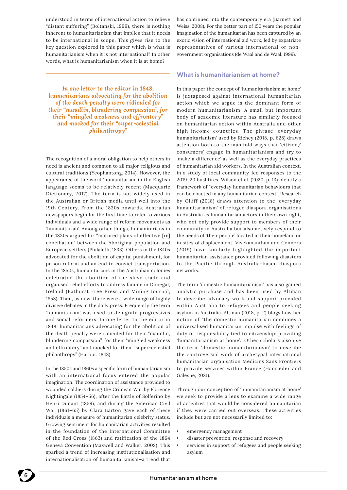understood in terms of international action to relieve "distant suffering" (Boltanski, 1999), there is nothing inherent to humanitarianism that implies that it needs to be international in scope. This gives rise to the key question explored in this paper which is what is humanitarianism when it is not international? In other words, what is humanitarianism when it is at home?

*In one letter to the editor in 1848, humanitarians advocating for the abolition of the death penalty were ridiculed for their "maudlin, blundering compassion", for their "mingled weakness and effrontery" and mocked for their "super-celestial philanthropy"* 

The recognition of a moral obligation to help others in need is ancient and common to all major religious and cultural traditions (Yeophantong, 2014). However, the appearance of the word 'humanitarian' in the English language seems to be relatively recent (Macquarie Dictionary, 2017). The term is not widely used in the Australian or British media until well into the 19th Century. From the 1830s onwards, Australian newspapers begin for the first time to refer to various individuals and a wide range of reform movements as 'humanitarian'. Among other things, humanitarians in the 1830s argued for "matured plans of effective [re] conciliation" between the Aboriginal population and European settlers (Philaleth, 1833). Others in the 1840s advocated for the abolition of capital punishment, for prison reform and an end to convict transportation. In the 1850s, humanitarians in the Australian colonies celebrated the abolition of the slave trade and organised relief efforts to address famine in Donegal, Ireland (Bathurst Free Press and Mining Journal, 1858). Then, as now, there were a wide range of highly divisive debates in the daily press. Frequently the term 'humanitarian' was used to denigrate progressives and social reformers. In one letter to the editor in 1848, humanitarians advocating for the abolition of the death penalty were ridiculed for their "maudlin, blundering compassion", for their "mingled weakness and effrontery" and mocked for their "super-celestial philanthropy" (Harpur, 1848).

In the 1850s and 1860s a specific form of humanitarianism with an international focus entered the popular imagination. The coordination of assistance provided to wounded soldiers during the Crimean War by Florence Nightingale (1854–56), after the Battle of Solferino by Henri Dunant (1859), and during the American Civil War (1861–65) by Clara Barton gave each of these individuals a measure of humanitarian celebrity status. Growing sentiment for humanitarian activities resulted in the foundation of the International Committee of the Red Cross (1863) and ratification of the 1864 Geneva Convention (Maxwell and Walker, 2008). This sparked a trend of increasing institutionalisation and internationalisation of humanitarianism—a trend that

has continued into the contemporary era (Barnett and Weiss, 2008). For the better part of 150 years the popular imagination of the humanitarian has been captured by an exotic vision of international aid work, led by expatriate representatives of various international or nongovernment organisations (de Waal and de Waal, 1999).

#### **What is humanitarianism at home?**

In this paper the concept of 'humanitarianism at home' is juxtaposed against international humanitarian action which we argue is the dominant form of modern humanitarianism. A small but important body of academic literature has similarly focused on humanitarian action within Australia and other high-income countries. The phrase 'everyday humanitarianism' used by Richey (2018, p. 628) draws attention both to the manifold ways that 'citizen/ consumers' engage in humanitarianism and try to 'make a difference' as well as the everyday practices of humanitarian aid workers. In the Australian context, in a study of local community-led responses to the 2019–20 bushfires, Wilson et al. (2020, p. 13) identify a framework of "everyday humanitarian behaviours that can be enacted in any humanitarian context". Research by Olliff (2018) draws attention to the 'everyday humanitarianism' of refugee diaspora organisations in Australia as humanitarian actors in their own right, who not only provide support to members of their community in Australia but also actively respond to the needs of 'their people' located in their homeland or in sites of displacement. Vivekananthan and Connors (2019) have similarly highlighted the important humanitarian assistance provided following disasters to the Pacific through Australia-based diaspora networks.

The term 'domestic humanitarianism' has also gained analytic purchase and has been used by Altman to describe advocacy work and support provided within Australia to refugees and people seeking asylum in Australia. Altman (2018, p. 2) blogs how her notion of "the domestic humanitarian combines a universalised humanitarian impulse with feelings of duty or responsibility tied to citizenship: providing 'humanitarianism at home'." Other scholars also use the term 'domestic humanitarianism' to describe the controversial work of archetypal international humanitarian organisation Medicins Sans Frontiers to provide services within France (Hanrieder and Galesne, 2021).

Through our conception of 'humanitarianism at home' we seek to provide a lens to examine a wide range of activities that would be considered humanitarian if they were carried out overseas. These activities include but are not necessarily limited to:

- emergency management
- disaster prevention, response and recovery
- services in support of refugees and people seeking asylum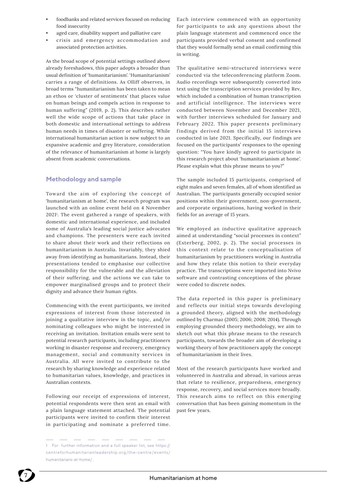- foodbanks and related services focused on reducing food insecurity
- aged care, disability support and palliative care
- crisis and emergency accommodation and associated protection activities.

As the broad scope of potential settings outlined above already foreshadows, this paper adopts a broader than usual definition of 'humanitarianism'. 'Humanitarianism' carries a range of definitions. As Olliff observes, in broad terms "humanitarianism has been taken to mean an ethos or 'cluster of sentiments' that places value on human beings and compels action in response to human suffering" (2019, p. 2). This describes rather well the wide scope of actions that take place in both domestic and international settings to address human needs in times of disaster or suffering. While international humanitarian action is now subject to an expansive academic and grey literature, consideration of the relevance of humanitarianism at home is largely absent from academic conversations.

# **Methodology and sample**

Toward the aim of exploring the concept of 'humanitarianism at home', the research program was launched with an online event held on 4 November 20211 . The event gathered a range of speakers, with domestic and international experience, and included some of Australia's leading social justice advocates and champions. The presenters were each invited to share about their work and their reflections on humanitarianism in Australia. Invariably, they shied away from identifying as humanitarians. Instead, their presentations tended to emphasise our collective responsibility for the vulnerable and the alleviation of their suffering, and the actions we can take to empower marginalised groups and to protect their dignity and advance their human rights.

Commencing with the event participants, we invited expressions of interest from those interested in joining a qualitative interview in the topic, and/or nominating colleagues who might be interested in receiving an invitation. Invitation emails were sent to potential research participants, including practitioners working in disaster response and recovery, emergency management, social and community services in Australia. All were invited to contribute to the research by sharing knowledge and experience related to humanitarian values, knowledge, and practices in Australian contexts.

Following our receipt of expressions of interest, potential respondents were then sent an email with a plain language statement attached. The potential participants were invited to confirm their interest in participating and nominate a preferred time.

Each interview commenced with an opportunity for participants to ask any questions about the plain language statement and commenced once the participants provided verbal consent and confirmed that they would formally send an email confirming this in writing.

The qualitative semi-structured interviews were conducted via the teleconferencing platform Zoom. Audio recordings were subsequently converted into text using the transcription services provided by Rev, which included a combination of human transcription and artificial intelligence. The interviews were conducted between November and December 2021, with further interviews scheduled for January and February 2022. This paper presents preliminary findings derived from the initial 15 interviews conducted in late 2021. Specifically, our findings are focused on the participants' responses to the opening question: "You have kindly agreed to participate in this research project about 'humanitarianism at home'. Please explain what this phrase means to you?"

The sample included 15 participants, comprised of eight males and seven females, all of whom identified as Australian. The participants generally occupied senior positions within their government, non-government, and corporate organisations, having worked in their fields for an average of 15 years.

We employed an inductive qualitative approach aimed at understanding "social processes in context" (Esterberg, 2002, p. 2). The social processes in this context relate to the conceptualisation of humanitarianism by practitioners working in Australia and how they relate this notion to their everyday practice. The transcriptions were imported into Nvivo software and contrasting conceptions of the phrase were coded to discrete nodes.

The data reported in this paper is preliminary and reflects our initial steps towards developing a grounded theory, aligned with the methodology outlined by Charmaz (2005; 2006; 2008; 2014). Through employing grounded theory methodology, we aim to sketch out what this phrase means to the research participants, towards the broader aim of developing a working theory of how practitioners apply the concept of humanitarianism in their lives.

Most of the research participants have worked and volunteered in Australia and abroad, in various areas that relate to resilience, preparedness, emergency response, recovery, and social services more broadly. This research aims to reflect on this emerging conversation that has been gaining momentum in the past few years.



<sup>1</sup> For further information and a full speaker list, see https:// centreforhumanitarianleadership.org/the-centre/events/ humanitarians-at-home/ .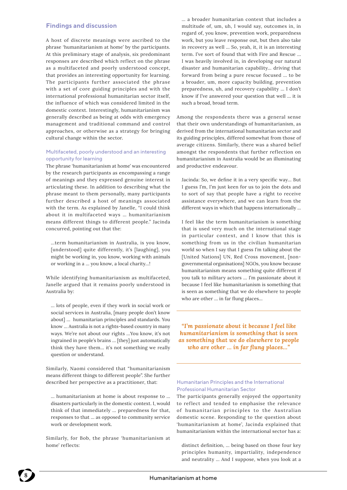#### **Findings and discussion**

A host of discrete meanings were ascribed to the phrase 'humanitarianism at home' by the participants. At this preliminary stage of analysis, six predominant responses are described which reflect on the phrase as a multifaceted and poorly understood concept, that provides an interesting opportunity for learning. The participants further associated the phrase with a set of core guiding principles and with the international professional humanitarian sector itself, the influence of which was considered limited in the domestic context. Interestingly, humanitarianism was generally described as being at odds with emergency management and traditional command and control approaches, or otherwise as a strategy for bringing cultural change within the sector.

#### Multifaceted, poorly understood and an interesting opportunity for learning

The phrase 'humanitarianism at home' was encountered by the research participants as encompassing a range of meanings and they expressed genuine interest in articulating these. In addition to describing what the phrase meant to them personally, many participants further described a host of meanings associated with the term. As explained by Janelle, "I could think about it in multifaceted ways … humanitarianism means different things to different people." Jacinda concurred, pointing out that the:

…term humanitarianism in Australia, is you know, [understood] quite differently, it's [laughing], you might be working in, you know, working with animals or working in a … you know, a local charity…!

While identifying humanitarianism as multifaceted, Janelle argued that it remains poorly understood in Australia by:

… lots of people, even if they work in social work or social services in Australia, [many people don't know about] … humanitarian principles and standards. You know … Australia is not a rights-based country in many ways. We're not about our rights …You know, it's not ingrained in people's brains … [they] just automatically think they have them… it's not something we really question or understand.

Similarly, Naomi considered that "humanitarianism means different things to different people". She further described her perspective as a practitioner, that:

… humanitarianism at home is about response to … disasters particularly in the domestic context. I, would think of that immediately … preparedness for that, responses to that … as opposed to community service work or development work.

Similarly, for Bob, the phrase 'humanitarianism at home' reflects:

… a broader humanitarian context that includes a multitude of, um, uh, I would say, outcomes in, in regard of, you know, prevention work, preparedness work, but you leave response out, but then also take in recovery as well … So, yeah, it, it is an interesting term. I've sort of found that with Fire and Rescue … I was heavily involved in, in developing our natural disaster and humanitarian capability… driving that forward from being a pure rescue focused … to be a broader, um, more capacity building, prevention preparedness, uh, and recovery capability … I don't know if I've answered your question that well … it is such a broad, broad term.

Among the respondents there was a general sense that their own understandings of humanitarianism, as derived from the international humanitarian sector and its guiding principles, differed somewhat from those of average citizens. Similarly, there was a shared belief amongst the respondents that further reflection on humanitarianism in Australia would be an illuminating and productive endeavour.

Jacinda: So, we define it in a very specific way… But I guess I'm, I'm just keen for us to join the dots and to sort of say that people have a right to receive assistance everywhere, and we can learn from the different ways in which that happens internationally ...

I feel like the term humanitarianism is something that is used very much on the international stage in particular context, and I know that this is something from us in the civilian humanitarian world so when I say that I guess I'm talking about the [United Nations] UN, Red Cross movement, [nongovernmental organisations] NGOs, you know because humanitarianism means something quite different if you talk to military actors … I'm passionate about it because I feel like humanitarianism is something that is seen as something that we do elsewhere to people who are other … in far flung places…

*"I'm passionate about it because I feel like humanitarianism is something that is seen as something that we do elsewhere to people who are other … in far flung places…"*

#### Humanitarian Principles and the International Professional Humanitarian Sector

The participants generally enjoyed the opportunity to reflect and tended to emphasise the relevance of humanitarian principles to the Australian domestic scene. Responding to the question about 'humanitarianism at home', Jacinda explained that humanitarianism within the international sector has a:

distinct definition, … being based on those four key principles humanity, impartiality, independence and neutrality … And I suppose, when you look at a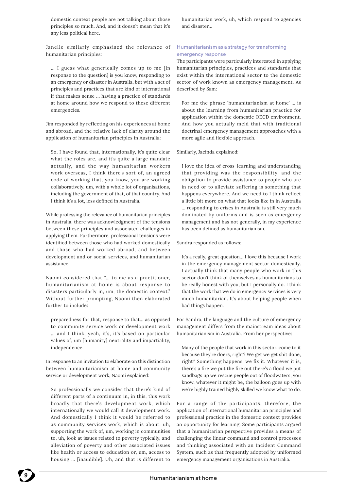domestic context people are not talking about those principles so much. And, and it doesn't mean that it's any less political here.

Janelle similarly emphasised the relevance of humanitarian principles:

… I guess what generically comes up to me [in response to the question] is you know, responding to an emergency or disaster in Australia, but with a set of principles and practices that are kind of international if that makes sense … having a practice of standards at home around how we respond to these different emergencies.

Jim responded by reflecting on his experiences at home and abroad, and the relative lack of clarity around the application of humanitarian principles in Australia:

So, I have found that, internationally, it's quite clear what the roles are, and it's quite a large mandate actually, and the way humanitarian workers work overseas, I think there's sort of, an agreed code of working that, you know, you are working collaboratively, um, with a whole lot of organisations, including the government of that, of that country. And I think it's a lot, less defined in Australia.

While professing the relevance of humanitarian principles in Australia, there was acknowledgment of the tensions between these principles and associated challenges in applying them. Furthermore, professional tensions were identified between those who had worked domestically and those who had worked abroad, and between development and or social services, and humanitarian assistance.

Naomi considered that "… to me as a practitioner, humanitarianism at home is about response to disasters particularly in, um, the domestic context." Without further prompting, Naomi then elaborated further to include:

preparedness for that, response to that… as opposed to community service work or development work … and I think, yeah, it's, it's based on particular values of, um [humanity] neutrality and impartiality, independence.

In response to an invitation to elaborate on this distinction between humanitarianism at home and community service or development work, Naomi explained:

So professionally we consider that there's kind of different parts of a continuum in, in this, this work broadly that there's development work, which internationally we would call it development work. And domestically I think it would be referred to as community services work, which is about, uh, supporting the work of, um, working in communities to, uh, look at issues related to poverty typically, and alleviation of poverty and other associated issues like health or access to education or, um, access to housing … [inaudible]. Uh, and that is different to

humanitarian work, uh, which respond to agencies and disaster…

#### Humanitarianism as a strategy for transforming emergency response

The participants were particularly interested in applying humanitarian principles, practices and standards that exist within the international sector to the domestic sector of work known as emergency management. As described by Sam:

For me the phrase 'humanitarianism at home' … is about the learning from humanitarian practice for application within the domestic OECD environment. And how you actually meld that with traditional doctrinal emergency management approaches with a more agile and flexible approach.

Similarly, Jacinda explained:

I love the idea of cross-learning and understanding that providing was the responsibility, and the obligation to provide assistance to people who are in need or to alleviate suffering is something that happens everywhere. And we need to I think reflect a little bit more on what that looks like in in Australia … responding to crises in Australia is still very much dominated by uniforms and is seen as emergency management and has not generally, in my experience has been defined as humanitarianism.

Sandra responded as follows:

It's a really, great question… I love this because I work in the emergency management sector domestically. I actually think that many people who work in this sector don't think of themselves as humanitarians to be really honest with you, but I personally do. I think that the work that we do in emergency services is very much humanitarian. It's about helping people when bad things happen.

For Sandra, the language and the culture of emergency management differs from the mainstream ideas about humanitarianism in Australia. From her perspective:

Many of the people that work in this sector, come to it because they're doers, right? We get we get shit done, right? Something happens, we fix it. Whatever it is, there's a fire we put the fire out there's a flood we put sandbags up we rescue people out of floodwaters, you know, whatever it might be, the balloon goes up with we're highly trained highly skilled we know what to do.

For a range of the participants, therefore, the application of international humanitarian principles and professional practice in the domestic context provides an opportunity for learning. Some participants argued that a humanitarian perspective provides a means of challenging the linear command and control processes and thinking associated with an Incident Command System, such as that frequently adopted by uniformed emergency management organisations in Australia.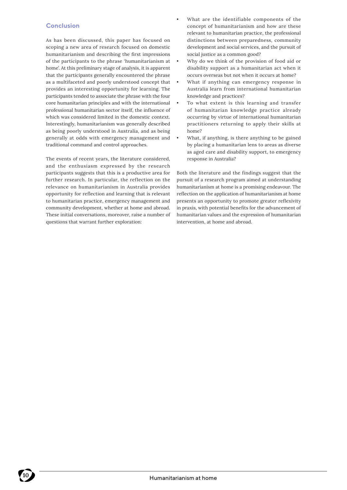### **Conclusion**

As has been discussed, this paper has focused on scoping a new area of research focused on domestic humanitarianism and describing the first impressions of the participants to the phrase 'humanitarianism at home'. At this preliminary stage of analysis, it is apparent that the participants generally encountered the phrase as a multifaceted and poorly understood concept that provides an interesting opportunity for learning. The participants tended to associate the phrase with the four core humanitarian principles and with the international professional humanitarian sector itself, the influence of which was considered limited in the domestic context. Interestingly, humanitarianism was generally described as being poorly understood in Australia, and as being generally at odds with emergency management and traditional command and control approaches.

The events of recent years, the literature considered, and the enthusiasm expressed by the research participants suggests that this is a productive area for further research. In particular, the reflection on the relevance on humanitarianism in Australia provides opportunity for reflection and learning that is relevant to humanitarian practice, emergency management and community development, whether at home and abroad. These initial conversations, moreover, raise a number of questions that warrant further exploration:

- What are the identifiable components of the concept of humanitarianism and how are these relevant to humanitarian practice, the professional distinctions between preparedness, community development and social services, and the pursuit of social justice as a common good?
- Why do we think of the provision of food aid or disability support as a humanitarian act when it occurs overseas but not when it occurs at home?
- What if anything can emergency response in Australia learn from international humanitarian knowledge and practices?
- To what extent is this learning and transfer of humanitarian knowledge practice already occurring by virtue of international humanitarian practitioners returning to apply their skills at home?
- What, if anything, is there anything to be gained by placing a humanitarian lens to areas as diverse as aged care and disability support, to emergency response in Australia?

Both the literature and the findings suggest that the pursuit of a research program aimed at understanding humanitarianism at home is a promising endeavour. The reflection on the application of humanitarianism at home presents an opportunity to promote greater reflexivity in praxis, with potential benefits for the advancement of humanitarian values and the expression of humanitarian intervention, at home and abroad.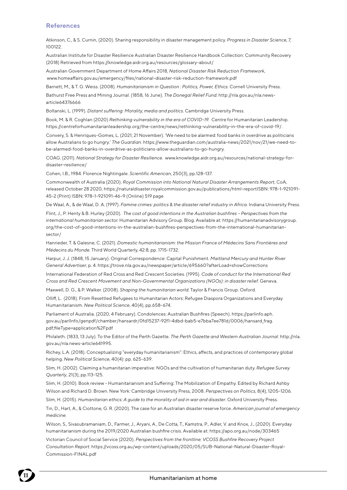#### **References**

Atkinson, C., & S. Curnin, (2020). Sharing responsibility in disaster management policy. *Progress in Disaster Science*, 7, 100122.

Australian Institute for Disaster Resilience Australian Disaster Resilience Handbook Collection: Community Recovery (2018) Retrieved from https://knowledge.aidr.org.au/resources/glossary-about/

Australian Government Department of Home Affairs 2018, *National Disaster Risk Reduction Framework*, www.homeaffairs.gov.au/emergency/files/national-disaster-risk-reduction-framework.pdf

Barnett, M., & T. G. Weiss. (2008). *Humanitarianism in Question : Politics, Power, Ethics.* Cornell University Press.

Bathurst Free Press and Mining Journal. (1858, 16 June). *The Donegal Relief Fund.* http://nla.gov.au/nla.newsarticle64376666

Boltanski, L. (1999). *Distant suffering: Morality, media and politics.* Cambridge University Press.

Book, M. & R. Coghlan (2020) *Rethinking vulnerability in the era of COVID-19.* Centre for Humanitarian Leadership. https://centreforhumanitarianleadership.org/the-centre/news/rethinking-vulnerability-in-the-era-of-covid-19/.

Convery, S. & Henriques-Gomes, L. (2021, 21 November). 'We need to be alarmed: food banks in overdrive as politicians allow Australians to go hungry.' *The Guardian*. https://www.theguardian.com/australia-news/2021/nov/21/we-need-tobe-alarmed-food-banks-in-overdrive-as-politicians-allow-australians-to-go-hungry.

COAG. (2011). *National Strategy for Disaster Resilience*. www.knowledge.aidr.org.au/resources/national-strategy-fordisaster-resilience/

Cohen, I.B., 1984. Florence Nightingale. *Scientific American*, 250(3), pp.128-137.

Commonwealth of Australia (2020). *Royal Commission into National Natural Disaster Arrangements Report*, CoA, released October 28 2020, https://naturaldisaster.royalcommission.gov.au/publications/html-reportISBN: 978-1-921091- 45-2 (Print) ISBN: 978-1-921091-46-9 (Online) 519 page

De Waal, A., & de Waal, D. A. (1997). *Famine crimes: politics & the disaster relief industry in Africa*. Indiana University Press.

Flint, J., P. Henty & B. Hurley (2020). *The cost of good intentions in the Australian bushfires – Perspectives from the international humanitarian sector.* Humanitarian Advisory Group. Blog. Available at: https://humanitarianadvisorygroup. org/the-cost-of-good-intentions-in-the-australian-bushfires-perspectives-from-the-international-humanitariansector/

Hanrieder, T. & Galesne, C. (2021). *Domestic humanitarianism: the Mission France of Médecins Sans Frontières and Médecins du Monde*. Third World Quarterly, 42:8, pp. 1715-1732.

Harpur, J. J. (1848, 15 January). Original Correspondence: Capital Punishment. *Maitland Mercury and Hunter River General Advertiser*, p. 4. https://trove.nla.gov.au/newspaper/article/695660?afterLoad=showCorrections

International Federation of Red Cross and Red Crescent Societies. (1995). *Code of conduct for the International Red Cross and Red Crescent Movement and Non-Governmental Organizations (NGOs): in disaster relief*. Geneva.

Maxwell, D. G., & P. Walker. (2008). *Shaping the humanitarian world.* Taylor & Francis Group. Oxford.

Olliff, L. (2018). From Resettled Refugees to Humanitarian Actors: Refugee Diaspora Organizations and Everyday Humanitarianism. *New Political Science*, 40(4), pp.658-674.

Parliament of Australia. (2020, 4 February). Condolences: Australian Bushfires (Speech). https://parlinfo.aph. gov.au/parlInfo/genpdf/chamber/hansardr/0fd15237-92f1-4dbd-bab5-e7bba7ee781d/0006/hansard\_frag. pdf;fileType=application%2Fpdf

Philaleth. (1833, 13 July). To the Editor of the Perth Gazette. *The Perth Gazette and Western Australian Journal*. http://nla. gov.au/nla.news-article641995.

Richey, L.A. (2018). Conceptualizing "everyday humanitarianism": Ethics, affects, and practices of contemporary global helping. *New Political Science*, 40(4): pp. 625-639.

Slim, H. (2002). Claiming a humanitarian imperative: NGOs and the cultivation of humanitarian duty. *Refugee Survey Quarterly*, 21(3), pp.113-125.

Slim, H. (2010). Book review - Humanitarianism and Suffering: The Mobilization of Empathy. Edited by Richard Ashby Wilson and Richard D. Brown. New York: Cambridge University Press, 2008. *Perspectives on Politics*, 8(4), 1205-1206.

Slim, H. (2015). *Humanitarian ethics: A guide to the morality of aid in war and disaster*. Oxford University Press.

Tin, D., Hart, A., & Ciottone, G. R. (2020). The case for an Australian disaster reserve force. *American journal of emergency medicine.*

Wilson, S., Sivasubramaniam, D., Farmer, J., Aryani, A., De Cotta, T., Kamstra, P., Adler, V. and Knox, J., (2020). Everyday humanitarianism during the 2019/2020 Australian bushfire crisis. Available at: https://apo.org.au/node/303465

Victorian Council of Social Service (2020). *Perspectives from the frontline: VCOSS Bushfire Recovery Project Consultation Report*. https://vcoss.org.au/wp-content/uploads/2020/05/SUB-National-Natural-Disaster-Royal-Commission-FINAL.pdf